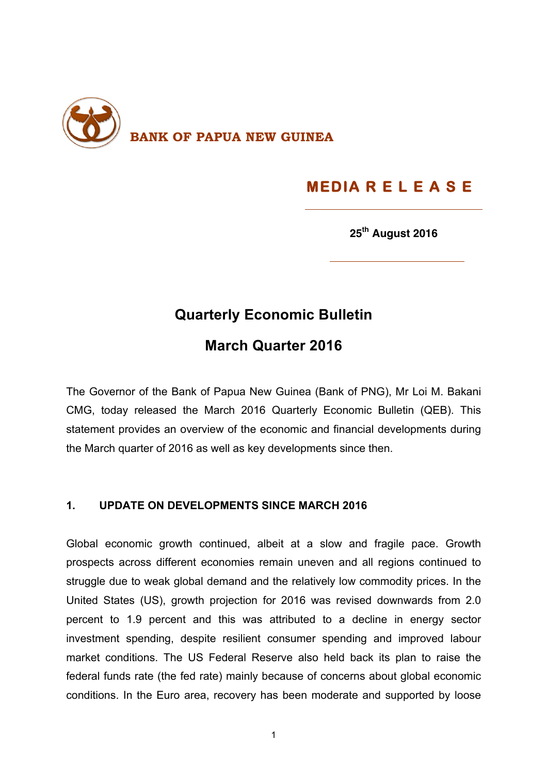

# **MEDIA R E L E A S E**

**25th August 2016**

## **Quarterly Economic Bulletin**

## **March Quarter 2016**

The Governor of the Bank of Papua New Guinea (Bank of PNG), Mr Loi M. Bakani CMG, today released the March 2016 Quarterly Economic Bulletin (QEB). This statement provides an overview of the economic and financial developments during the March quarter of 2016 as well as key developments since then.

#### **1. UPDATE ON DEVELOPMENTS SINCE MARCH 2016**

Global economic growth continued, albeit at a slow and fragile pace. Growth prospects across different economies remain uneven and all regions continued to struggle due to weak global demand and the relatively low commodity prices. In the United States (US), growth projection for 2016 was revised downwards from 2.0 percent to 1.9 percent and this was attributed to a decline in energy sector investment spending, despite resilient consumer spending and improved labour market conditions. The US Federal Reserve also held back its plan to raise the federal funds rate (the fed rate) mainly because of concerns about global economic conditions. In the Euro area, recovery has been moderate and supported by loose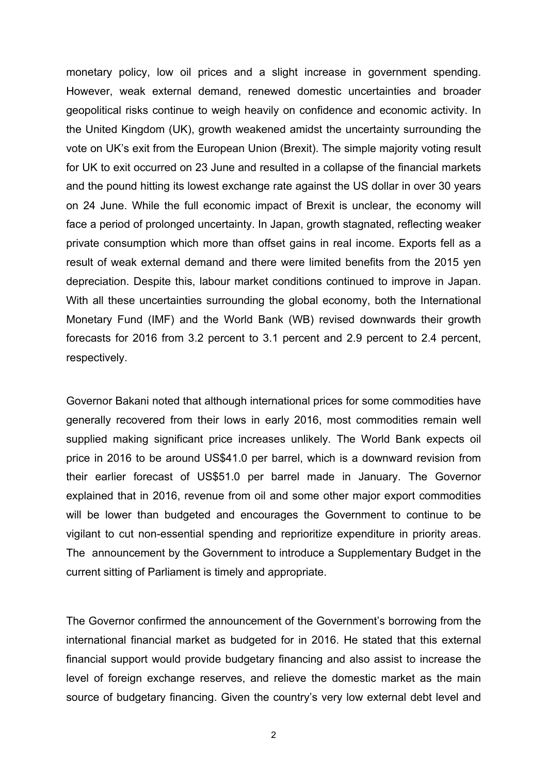monetary policy, low oil prices and a slight increase in government spending. However, weak external demand, renewed domestic uncertainties and broader geopolitical risks continue to weigh heavily on confidence and economic activity. In the United Kingdom (UK), growth weakened amidst the uncertainty surrounding the vote on UK's exit from the European Union (Brexit). The simple majority voting result for UK to exit occurred on 23 June and resulted in a collapse of the financial markets and the pound hitting its lowest exchange rate against the US dollar in over 30 years on 24 June. While the full economic impact of Brexit is unclear, the economy will face a period of prolonged uncertainty. In Japan, growth stagnated, reflecting weaker private consumption which more than offset gains in real income. Exports fell as a result of weak external demand and there were limited benefits from the 2015 yen depreciation. Despite this, labour market conditions continued to improve in Japan. With all these uncertainties surrounding the global economy, both the International Monetary Fund (IMF) and the World Bank (WB) revised downwards their growth forecasts for 2016 from 3.2 percent to 3.1 percent and 2.9 percent to 2.4 percent, respectively.

Governor Bakani noted that although international prices for some commodities have generally recovered from their lows in early 2016, most commodities remain well supplied making significant price increases unlikely. The World Bank expects oil price in 2016 to be around US\$41.0 per barrel, which is a downward revision from their earlier forecast of US\$51.0 per barrel made in January. The Governor explained that in 2016, revenue from oil and some other major export commodities will be lower than budgeted and encourages the Government to continue to be vigilant to cut non-essential spending and reprioritize expenditure in priority areas. The announcement by the Government to introduce a Supplementary Budget in the current sitting of Parliament is timely and appropriate.

The Governor confirmed the announcement of the Government's borrowing from the international financial market as budgeted for in 2016. He stated that this external financial support would provide budgetary financing and also assist to increase the level of foreign exchange reserves, and relieve the domestic market as the main source of budgetary financing. Given the country's very low external debt level and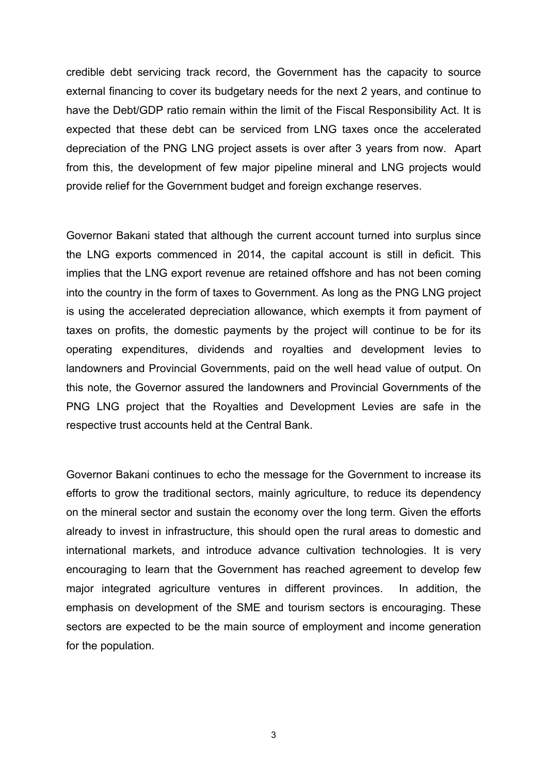credible debt servicing track record, the Government has the capacity to source external financing to cover its budgetary needs for the next 2 years, and continue to have the Debt/GDP ratio remain within the limit of the Fiscal Responsibility Act. It is expected that these debt can be serviced from LNG taxes once the accelerated depreciation of the PNG LNG project assets is over after 3 years from now. Apart from this, the development of few major pipeline mineral and LNG projects would provide relief for the Government budget and foreign exchange reserves.

Governor Bakani stated that although the current account turned into surplus since the LNG exports commenced in 2014, the capital account is still in deficit. This implies that the LNG export revenue are retained offshore and has not been coming into the country in the form of taxes to Government. As long as the PNG LNG project is using the accelerated depreciation allowance, which exempts it from payment of taxes on profits, the domestic payments by the project will continue to be for its operating expenditures, dividends and royalties and development levies to landowners and Provincial Governments, paid on the well head value of output. On this note, the Governor assured the landowners and Provincial Governments of the PNG LNG project that the Royalties and Development Levies are safe in the respective trust accounts held at the Central Bank.

Governor Bakani continues to echo the message for the Government to increase its efforts to grow the traditional sectors, mainly agriculture, to reduce its dependency on the mineral sector and sustain the economy over the long term. Given the efforts already to invest in infrastructure, this should open the rural areas to domestic and international markets, and introduce advance cultivation technologies. It is very encouraging to learn that the Government has reached agreement to develop few major integrated agriculture ventures in different provinces. In addition, the emphasis on development of the SME and tourism sectors is encouraging. These sectors are expected to be the main source of employment and income generation for the population.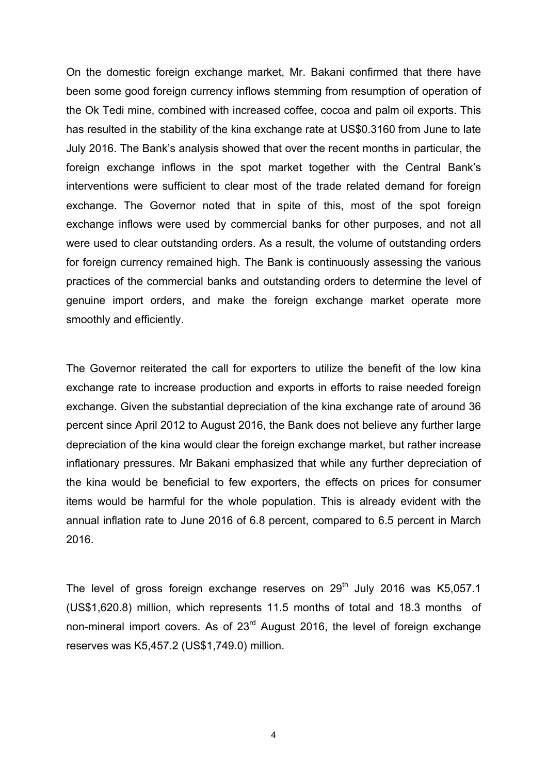On the domestic foreign exchange market, Mr. Bakani confirmed that there have been some good foreign currency inflows stemming from resumption of operation of the Ok Tedi mine, combined with increased coffee, cocoa and palm oil exports. This has resulted in the stability of the kina exchange rate at US\$0.3160 from June to late July 2016. The Bank's analysis showed that over the recent months in particular, the foreign exchange inflows in the spot market together with the Central Bank's interventions were sufficient to clear most of the trade related demand for foreign exchange. The Governor noted that in spite of this, most of the spot foreign exchange inflows were used by commercial banks for other purposes, and not all were used to clear outstanding orders. As a result, the volume of outstanding orders for foreign currency remained high. The Bank is continuously assessing the various practices of the commercial banks and outstanding orders to determine the level of genuine import orders, and make the foreign exchange market operate more smoothly and efficiently.

The Governor reiterated the call for exporters to utilize the benefit of the low kina exchange rate to increase production and exports in efforts to raise needed foreign exchange. Given the substantial depreciation of the kina exchange rate of around 36 percent since April 2012 to August 2016, the Bank does not believe any further large depreciation of the kina would clear the foreign exchange market, but rather increase inflationary pressures. Mr Bakani emphasized that while any further depreciation of the kina would be beneficial to few exporters, the effects on prices for consumer items would be harmful for the whole population. This is already evident with the annual inflation rate to June 2016 of 6.8 percent, compared to 6.5 percent in March 2016.

The level of gross foreign exchange reserves on  $29<sup>th</sup>$  July 2016 was K5,057.1 (US\$1,620.8) million, which represents 11.5 months of total and 18.3 months of non-mineral import covers. As of 23<sup>rd</sup> August 2016, the level of foreign exchange reserves was K5,457.2 (US\$1,749.0) million.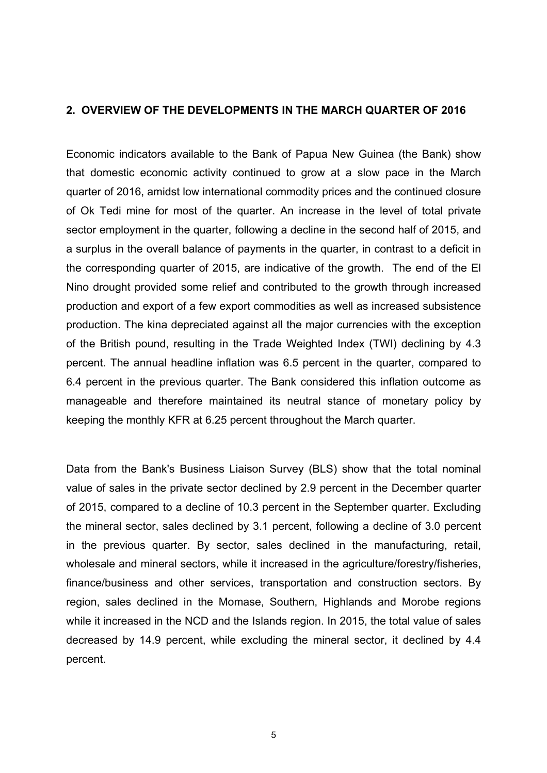#### **2. OVERVIEW OF THE DEVELOPMENTS IN THE MARCH QUARTER OF 2016**

Economic indicators available to the Bank of Papua New Guinea (the Bank) show that domestic economic activity continued to grow at a slow pace in the March quarter of 2016, amidst low international commodity prices and the continued closure of Ok Tedi mine for most of the quarter. An increase in the level of total private sector employment in the quarter, following a decline in the second half of 2015, and a surplus in the overall balance of payments in the quarter, in contrast to a deficit in the corresponding quarter of 2015, are indicative of the growth. The end of the El Nino drought provided some relief and contributed to the growth through increased production and export of a few export commodities as well as increased subsistence production. The kina depreciated against all the major currencies with the exception of the British pound, resulting in the Trade Weighted Index (TWI) declining by 4.3 percent. The annual headline inflation was 6.5 percent in the quarter, compared to 6.4 percent in the previous quarter. The Bank considered this inflation outcome as manageable and therefore maintained its neutral stance of monetary policy by keeping the monthly KFR at 6.25 percent throughout the March quarter.

Data from the Bank's Business Liaison Survey (BLS) show that the total nominal value of sales in the private sector declined by 2.9 percent in the December quarter of 2015, compared to a decline of 10.3 percent in the September quarter. Excluding the mineral sector, sales declined by 3.1 percent, following a decline of 3.0 percent in the previous quarter. By sector, sales declined in the manufacturing, retail, wholesale and mineral sectors, while it increased in the agriculture/forestry/fisheries, finance/business and other services, transportation and construction sectors. By region, sales declined in the Momase, Southern, Highlands and Morobe regions while it increased in the NCD and the Islands region. In 2015, the total value of sales decreased by 14.9 percent, while excluding the mineral sector, it declined by 4.4 percent.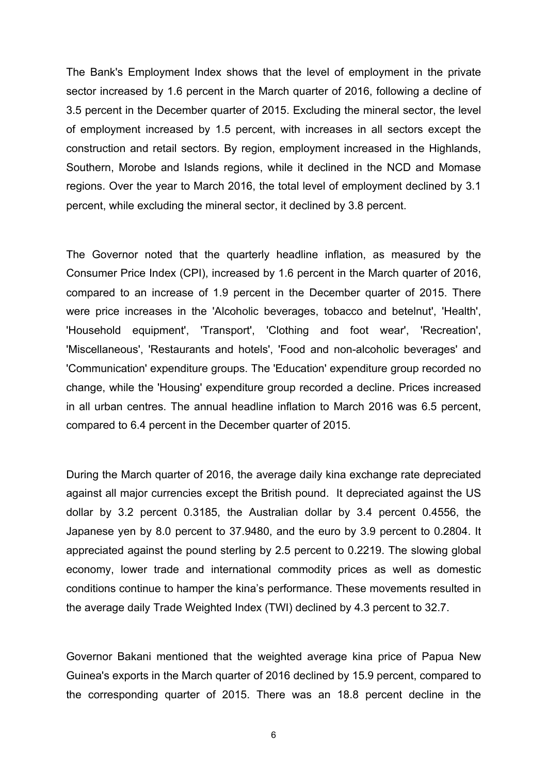The Bank's Employment Index shows that the level of employment in the private sector increased by 1.6 percent in the March quarter of 2016, following a decline of 3.5 percent in the December quarter of 2015. Excluding the mineral sector, the level of employment increased by 1.5 percent, with increases in all sectors except the construction and retail sectors. By region, employment increased in the Highlands, Southern, Morobe and Islands regions, while it declined in the NCD and Momase regions. Over the year to March 2016, the total level of employment declined by 3.1 percent, while excluding the mineral sector, it declined by 3.8 percent.

The Governor noted that the quarterly headline inflation, as measured by the Consumer Price Index (CPI), increased by 1.6 percent in the March quarter of 2016, compared to an increase of 1.9 percent in the December quarter of 2015. There were price increases in the 'Alcoholic beverages, tobacco and betelnut', 'Health', 'Household equipment', 'Transport', 'Clothing and foot wear', 'Recreation', 'Miscellaneous', 'Restaurants and hotels', 'Food and non-alcoholic beverages' and 'Communication' expenditure groups. The 'Education' expenditure group recorded no change, while the 'Housing' expenditure group recorded a decline. Prices increased in all urban centres. The annual headline inflation to March 2016 was 6.5 percent, compared to 6.4 percent in the December quarter of 2015.

During the March quarter of 2016, the average daily kina exchange rate depreciated against all major currencies except the British pound. It depreciated against the US dollar by 3.2 percent 0.3185, the Australian dollar by 3.4 percent 0.4556, the Japanese yen by 8.0 percent to 37.9480, and the euro by 3.9 percent to 0.2804. It appreciated against the pound sterling by 2.5 percent to 0.2219. The slowing global economy, lower trade and international commodity prices as well as domestic conditions continue to hamper the kina's performance. These movements resulted in the average daily Trade Weighted Index (TWI) declined by 4.3 percent to 32.7.

Governor Bakani mentioned that the weighted average kina price of Papua New Guinea's exports in the March quarter of 2016 declined by 15.9 percent, compared to the corresponding quarter of 2015. There was an 18.8 percent decline in the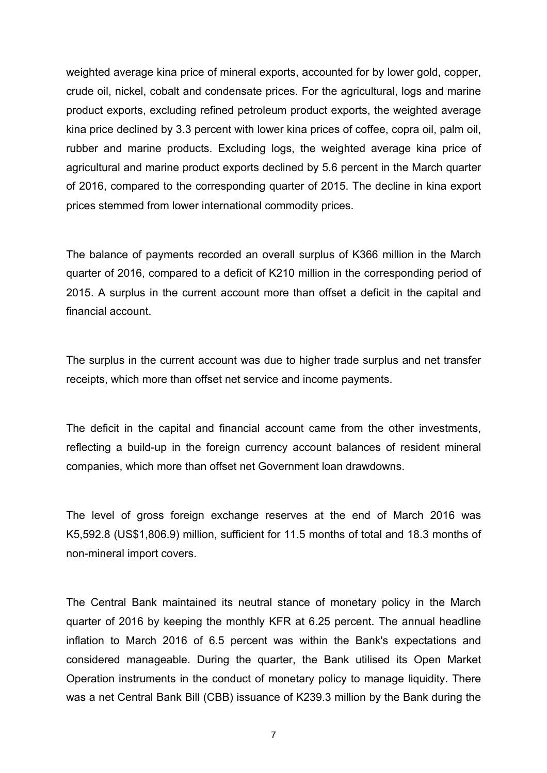weighted average kina price of mineral exports, accounted for by lower gold, copper, crude oil, nickel, cobalt and condensate prices. For the agricultural, logs and marine product exports, excluding refined petroleum product exports, the weighted average kina price declined by 3.3 percent with lower kina prices of coffee, copra oil, palm oil, rubber and marine products. Excluding logs, the weighted average kina price of agricultural and marine product exports declined by 5.6 percent in the March quarter of 2016, compared to the corresponding quarter of 2015. The decline in kina export prices stemmed from lower international commodity prices.

The balance of payments recorded an overall surplus of K366 million in the March quarter of 2016, compared to a deficit of K210 million in the corresponding period of 2015. A surplus in the current account more than offset a deficit in the capital and financial account.

The surplus in the current account was due to higher trade surplus and net transfer receipts, which more than offset net service and income payments.

The deficit in the capital and financial account came from the other investments, reflecting a build-up in the foreign currency account balances of resident mineral companies, which more than offset net Government loan drawdowns.

The level of gross foreign exchange reserves at the end of March 2016 was K5,592.8 (US\$1,806.9) million, sufficient for 11.5 months of total and 18.3 months of non-mineral import covers.

The Central Bank maintained its neutral stance of monetary policy in the March quarter of 2016 by keeping the monthly KFR at 6.25 percent. The annual headline inflation to March 2016 of 6.5 percent was within the Bank's expectations and considered manageable. During the quarter, the Bank utilised its Open Market Operation instruments in the conduct of monetary policy to manage liquidity. There was a net Central Bank Bill (CBB) issuance of K239.3 million by the Bank during the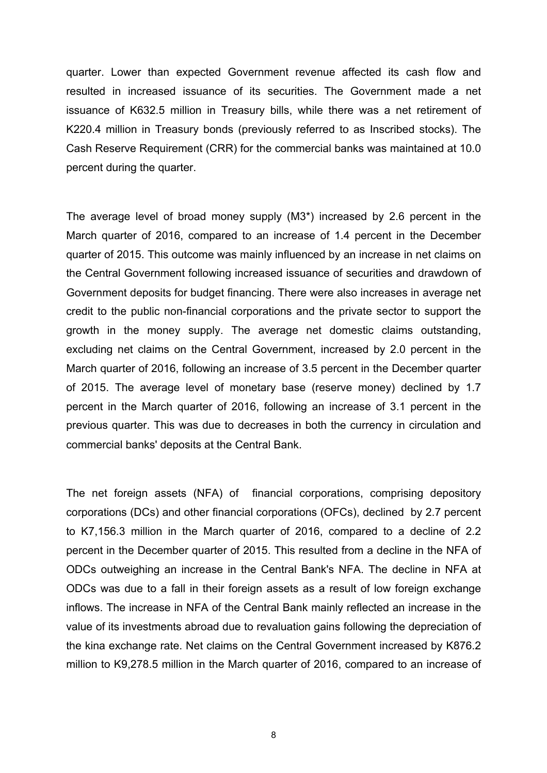quarter. Lower than expected Government revenue affected its cash flow and resulted in increased issuance of its securities. The Government made a net issuance of K632.5 million in Treasury bills, while there was a net retirement of K220.4 million in Treasury bonds (previously referred to as Inscribed stocks). The Cash Reserve Requirement (CRR) for the commercial banks was maintained at 10.0 percent during the quarter.

The average level of broad money supply (M3\*) increased by 2.6 percent in the March quarter of 2016, compared to an increase of 1.4 percent in the December quarter of 2015. This outcome was mainly influenced by an increase in net claims on the Central Government following increased issuance of securities and drawdown of Government deposits for budget financing. There were also increases in average net credit to the public non-financial corporations and the private sector to support the growth in the money supply. The average net domestic claims outstanding, excluding net claims on the Central Government, increased by 2.0 percent in the March quarter of 2016, following an increase of 3.5 percent in the December quarter of 2015. The average level of monetary base (reserve money) declined by 1.7 percent in the March quarter of 2016, following an increase of 3.1 percent in the previous quarter. This was due to decreases in both the currency in circulation and commercial banks' deposits at the Central Bank.

The net foreign assets (NFA) of financial corporations, comprising depository corporations (DCs) and other financial corporations (OFCs), declined by 2.7 percent to K7,156.3 million in the March quarter of 2016, compared to a decline of 2.2 percent in the December quarter of 2015. This resulted from a decline in the NFA of ODCs outweighing an increase in the Central Bank's NFA. The decline in NFA at ODCs was due to a fall in their foreign assets as a result of low foreign exchange inflows. The increase in NFA of the Central Bank mainly reflected an increase in the value of its investments abroad due to revaluation gains following the depreciation of the kina exchange rate. Net claims on the Central Government increased by K876.2 million to K9,278.5 million in the March quarter of 2016, compared to an increase of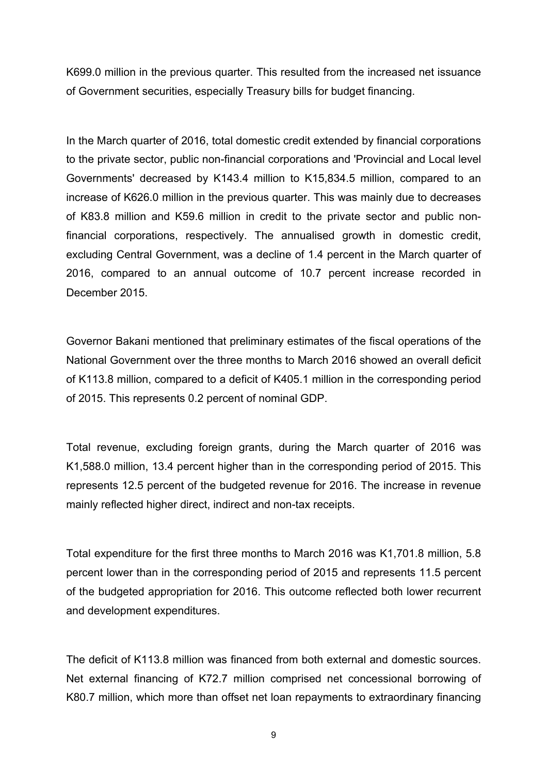K699.0 million in the previous quarter. This resulted from the increased net issuance of Government securities, especially Treasury bills for budget financing.

In the March quarter of 2016, total domestic credit extended by financial corporations to the private sector, public non-financial corporations and 'Provincial and Local level Governments' decreased by K143.4 million to K15,834.5 million, compared to an increase of K626.0 million in the previous quarter. This was mainly due to decreases of K83.8 million and K59.6 million in credit to the private sector and public nonfinancial corporations, respectively. The annualised growth in domestic credit, excluding Central Government, was a decline of 1.4 percent in the March quarter of 2016, compared to an annual outcome of 10.7 percent increase recorded in December 2015.

Governor Bakani mentioned that preliminary estimates of the fiscal operations of the National Government over the three months to March 2016 showed an overall deficit of K113.8 million, compared to a deficit of K405.1 million in the corresponding period of 2015. This represents 0.2 percent of nominal GDP.

Total revenue, excluding foreign grants, during the March quarter of 2016 was K1,588.0 million, 13.4 percent higher than in the corresponding period of 2015. This represents 12.5 percent of the budgeted revenue for 2016. The increase in revenue mainly reflected higher direct, indirect and non-tax receipts.

Total expenditure for the first three months to March 2016 was K1,701.8 million, 5.8 percent lower than in the corresponding period of 2015 and represents 11.5 percent of the budgeted appropriation for 2016. This outcome reflected both lower recurrent and development expenditures.

The deficit of K113.8 million was financed from both external and domestic sources. Net external financing of K72.7 million comprised net concessional borrowing of K80.7 million, which more than offset net loan repayments to extraordinary financing